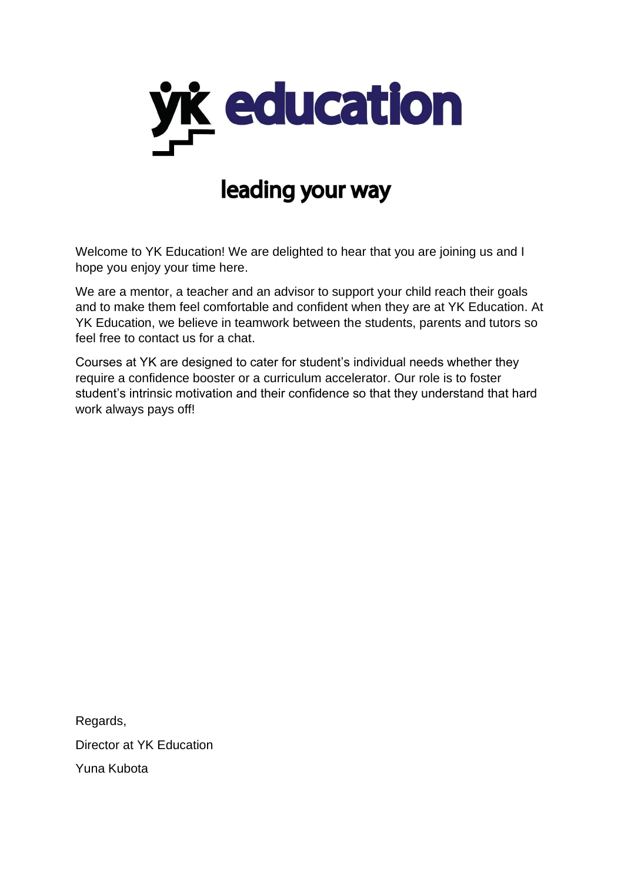

# leading your way

Welcome to YK Education! We are delighted to hear that you are joining us and I hope you enjoy your time here.

We are a mentor, a teacher and an advisor to support your child reach their goals and to make them feel comfortable and confident when they are at YK Education. At YK Education, we believe in teamwork between the students, parents and tutors so feel free to contact us for a chat.

Courses at YK are designed to cater for student's individual needs whether they require a confidence booster or a curriculum accelerator. Our role is to foster student's intrinsic motivation and their confidence so that they understand that hard work always pays off!

Regards, Director at YK Education Yuna Kubota